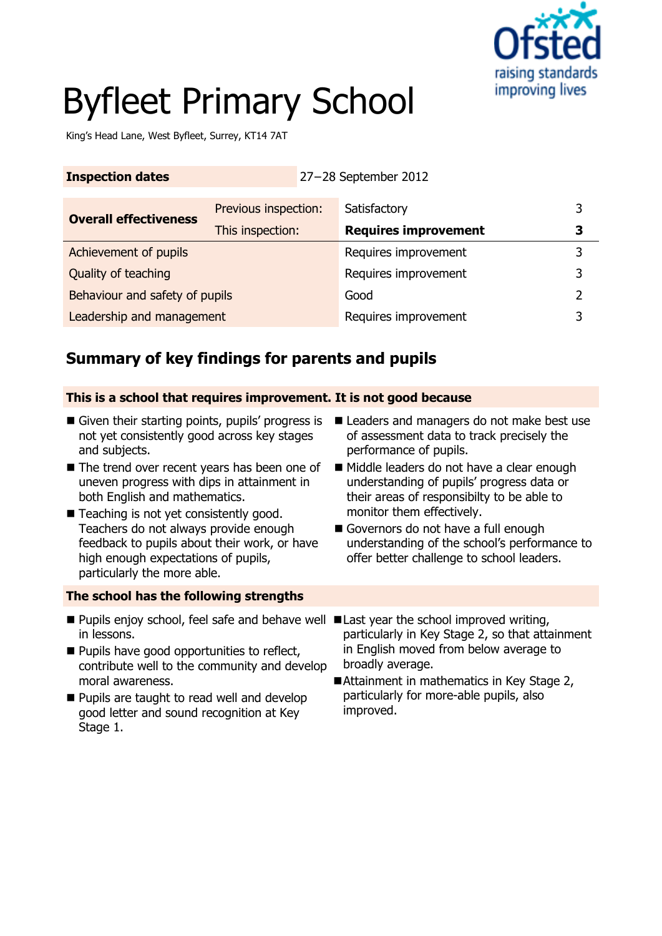

# Byfleet Primary School

King's Head Lane, West Byfleet, Surrey, KT14 7AT

| <b>Inspection dates</b> | $27-28$ September 2012 |
|-------------------------|------------------------|
|                         |                        |

| <b>Overall effectiveness</b>   | Previous inspection: | Satisfactory                | ิว |
|--------------------------------|----------------------|-----------------------------|----|
|                                | This inspection:     | <b>Requires improvement</b> |    |
| Achievement of pupils          |                      | Requires improvement        |    |
| Quality of teaching            |                      | Requires improvement        |    |
| Behaviour and safety of pupils |                      | Good                        |    |
| Leadership and management      |                      | Requires improvement        |    |

# **Summary of key findings for parents and pupils**

#### **This is a school that requires improvement. It is not good because**

- Given their starting points, pupils' progress is not yet consistently good across key stages and subjects.
- The trend over recent years has been one of uneven progress with dips in attainment in both English and mathematics.
- Teaching is not yet consistently good. Teachers do not always provide enough feedback to pupils about their work, or have high enough expectations of pupils, particularly the more able.

### **The school has the following strengths**

- Pupils enjoy school, feel safe and behave well Last year the school improved writing, in lessons.
- **Pupils have good opportunities to reflect,** contribute well to the community and develop moral awareness.
- **Pupils are taught to read well and develop** good letter and sound recognition at Key Stage 1.
- Leaders and managers do not make best use of assessment data to track precisely the performance of pupils.
- Middle leaders do not have a clear enough understanding of pupils' progress data or their areas of responsibilty to be able to monitor them effectively.
- Governors do not have a full enough understanding of the school's performance to offer better challenge to school leaders.
- particularly in Key Stage 2, so that attainment in English moved from below average to broadly average.
- Attainment in mathematics in Key Stage 2, particularly for more-able pupils, also improved.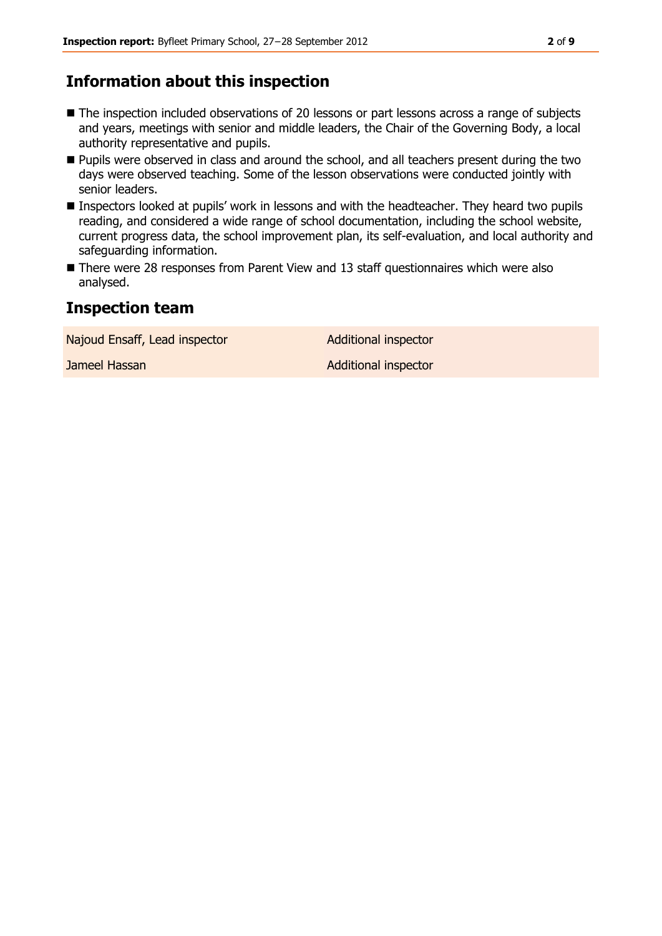# **Information about this inspection**

- The inspection included observations of 20 lessons or part lessons across a range of subjects and years, meetings with senior and middle leaders, the Chair of the Governing Body, a local authority representative and pupils.
- **Pupils were observed in class and around the school, and all teachers present during the two** days were observed teaching. Some of the lesson observations were conducted jointly with senior leaders.
- **Inspectors looked at pupils' work in lessons and with the headteacher. They heard two pupils** reading, and considered a wide range of school documentation, including the school website, current progress data, the school improvement plan, its self-evaluation, and local authority and safeguarding information.
- There were 28 responses from Parent View and 13 staff questionnaires which were also analysed.

### **Inspection team**

Najoud Ensaff, Lead inspector and Additional inspector

**Jameel Hassan Additional inspector** Additional inspector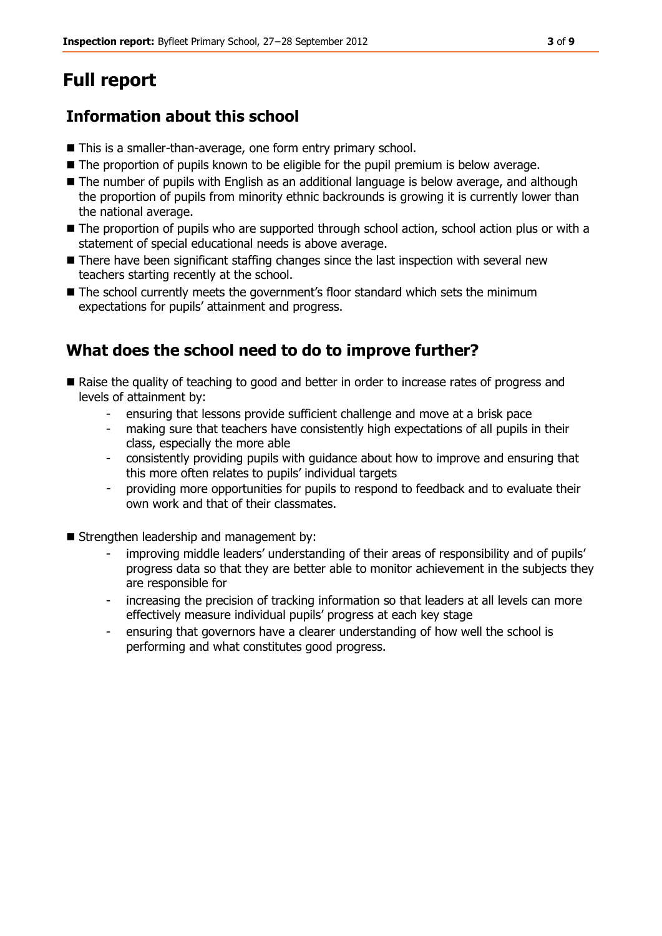# **Full report**

# **Information about this school**

- This is a smaller-than-average, one form entry primary school.
- $\blacksquare$  The proportion of pupils known to be eligible for the pupil premium is below average.
- $\blacksquare$  The number of pupils with English as an additional language is below average, and although the proportion of pupils from minority ethnic backrounds is growing it is currently lower than the national average.
- The proportion of pupils who are supported through school action, school action plus or with a statement of special educational needs is above average.
- There have been significant staffing changes since the last inspection with several new teachers starting recently at the school.
- The school currently meets the government's floor standard which sets the minimum expectations for pupils' attainment and progress.

# **What does the school need to do to improve further?**

- Raise the quality of teaching to good and better in order to increase rates of progress and levels of attainment by:
	- ensuring that lessons provide sufficient challenge and move at a brisk pace
	- making sure that teachers have consistently high expectations of all pupils in their class, especially the more able
	- consistently providing pupils with guidance about how to improve and ensuring that this more often relates to pupils' individual targets
	- providing more opportunities for pupils to respond to feedback and to evaluate their own work and that of their classmates.
- Strengthen leadership and management by:
	- improving middle leaders' understanding of their areas of responsibility and of pupils' progress data so that they are better able to monitor achievement in the subjects they are responsible for
	- increasing the precision of tracking information so that leaders at all levels can more effectively measure individual pupils' progress at each key stage
	- ensuring that governors have a clearer understanding of how well the school is performing and what constitutes good progress.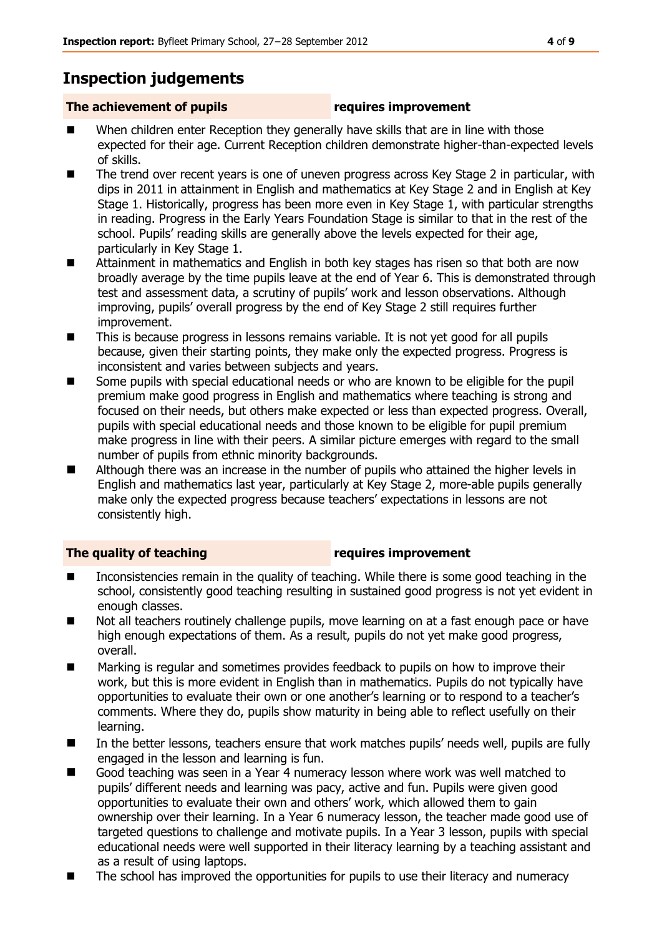# **Inspection judgements**

### **The achievement of pupils requires improvement**

- When children enter Reception they generally have skills that are in line with those expected for their age. Current Reception children demonstrate higher-than-expected levels of skills.
- The trend over recent years is one of uneven progress across Key Stage 2 in particular, with dips in 2011 in attainment in English and mathematics at Key Stage 2 and in English at Key Stage 1. Historically, progress has been more even in Key Stage 1, with particular strengths in reading. Progress in the Early Years Foundation Stage is similar to that in the rest of the school. Pupils' reading skills are generally above the levels expected for their age, particularly in Key Stage 1.
- Attainment in mathematics and English in both key stages has risen so that both are now broadly average by the time pupils leave at the end of Year 6. This is demonstrated through test and assessment data, a scrutiny of pupils' work and lesson observations. Although improving, pupils' overall progress by the end of Key Stage 2 still requires further improvement.
- This is because progress in lessons remains variable. It is not yet good for all pupils because, given their starting points, they make only the expected progress. Progress is inconsistent and varies between subjects and years.
- Some pupils with special educational needs or who are known to be eligible for the pupil premium make good progress in English and mathematics where teaching is strong and focused on their needs, but others make expected or less than expected progress. Overall, pupils with special educational needs and those known to be eligible for pupil premium make progress in line with their peers. A similar picture emerges with regard to the small number of pupils from ethnic minority backgrounds.
- Although there was an increase in the number of pupils who attained the higher levels in English and mathematics last year, particularly at Key Stage 2, more-able pupils generally make only the expected progress because teachers' expectations in lessons are not consistently high.

#### **The quality of teaching requires improvement**

- Inconsistencies remain in the quality of teaching. While there is some good teaching in the school, consistently good teaching resulting in sustained good progress is not yet evident in enough classes.
- Not all teachers routinely challenge pupils, move learning on at a fast enough pace or have high enough expectations of them. As a result, pupils do not yet make good progress, overall.
- Marking is regular and sometimes provides feedback to pupils on how to improve their work, but this is more evident in English than in mathematics. Pupils do not typically have opportunities to evaluate their own or one another's learning or to respond to a teacher's comments. Where they do, pupils show maturity in being able to reflect usefully on their learning.
- In the better lessons, teachers ensure that work matches pupils' needs well, pupils are fully engaged in the lesson and learning is fun.
- Good teaching was seen in a Year 4 numeracy lesson where work was well matched to pupils' different needs and learning was pacy, active and fun. Pupils were given good opportunities to evaluate their own and others' work, which allowed them to gain ownership over their learning. In a Year 6 numeracy lesson, the teacher made good use of targeted questions to challenge and motivate pupils. In a Year 3 lesson, pupils with special educational needs were well supported in their literacy learning by a teaching assistant and as a result of using laptops.
- The school has improved the opportunities for pupils to use their literacy and numeracy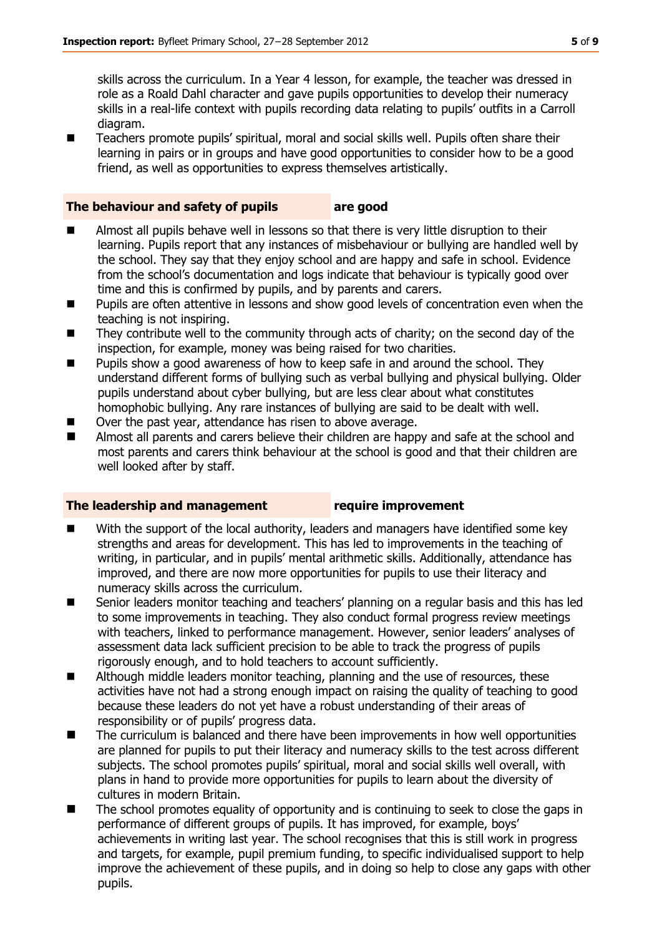skills across the curriculum. In a Year 4 lesson, for example, the teacher was dressed in role as a Roald Dahl character and gave pupils opportunities to develop their numeracy skills in a real-life context with pupils recording data relating to pupils' outfits in a Carroll diagram.

■ Teachers promote pupils' spiritual, moral and social skills well. Pupils often share their learning in pairs or in groups and have good opportunities to consider how to be a good friend, as well as opportunities to express themselves artistically.

#### **The behaviour and safety of pupils are good**

- Almost all pupils behave well in lessons so that there is very little disruption to their learning. Pupils report that any instances of misbehaviour or bullying are handled well by the school. They say that they enjoy school and are happy and safe in school. Evidence from the school's documentation and logs indicate that behaviour is typically good over time and this is confirmed by pupils, and by parents and carers.
- **Pupils are often attentive in lessons and show good levels of concentration even when the** teaching is not inspiring.
- They contribute well to the community through acts of charity; on the second day of the inspection, for example, money was being raised for two charities.
- Pupils show a good awareness of how to keep safe in and around the school. They understand different forms of bullying such as verbal bullying and physical bullying. Older pupils understand about cyber bullying, but are less clear about what constitutes homophobic bullying. Any rare instances of bullying are said to be dealt with well.
- Over the past year, attendance has risen to above average.
- Almost all parents and carers believe their children are happy and safe at the school and most parents and carers think behaviour at the school is good and that their children are well looked after by staff.

#### **The leadership and management require improvement**

- With the support of the local authority, leaders and managers have identified some key strengths and areas for development. This has led to improvements in the teaching of writing, in particular, and in pupils' mental arithmetic skills. Additionally, attendance has improved, and there are now more opportunities for pupils to use their literacy and numeracy skills across the curriculum.
- Senior leaders monitor teaching and teachers' planning on a regular basis and this has led to some improvements in teaching. They also conduct formal progress review meetings with teachers, linked to performance management. However, senior leaders' analyses of assessment data lack sufficient precision to be able to track the progress of pupils rigorously enough, and to hold teachers to account sufficiently.
- Although middle leaders monitor teaching, planning and the use of resources, these activities have not had a strong enough impact on raising the quality of teaching to good because these leaders do not yet have a robust understanding of their areas of responsibility or of pupils' progress data.
- The curriculum is balanced and there have been improvements in how well opportunities are planned for pupils to put their literacy and numeracy skills to the test across different subjects. The school promotes pupils' spiritual, moral and social skills well overall, with plans in hand to provide more opportunities for pupils to learn about the diversity of cultures in modern Britain.
- The school promotes equality of opportunity and is continuing to seek to close the gaps in performance of different groups of pupils. It has improved, for example, boys' achievements in writing last year. The school recognises that this is still work in progress and targets, for example, pupil premium funding, to specific individualised support to help improve the achievement of these pupils, and in doing so help to close any gaps with other pupils.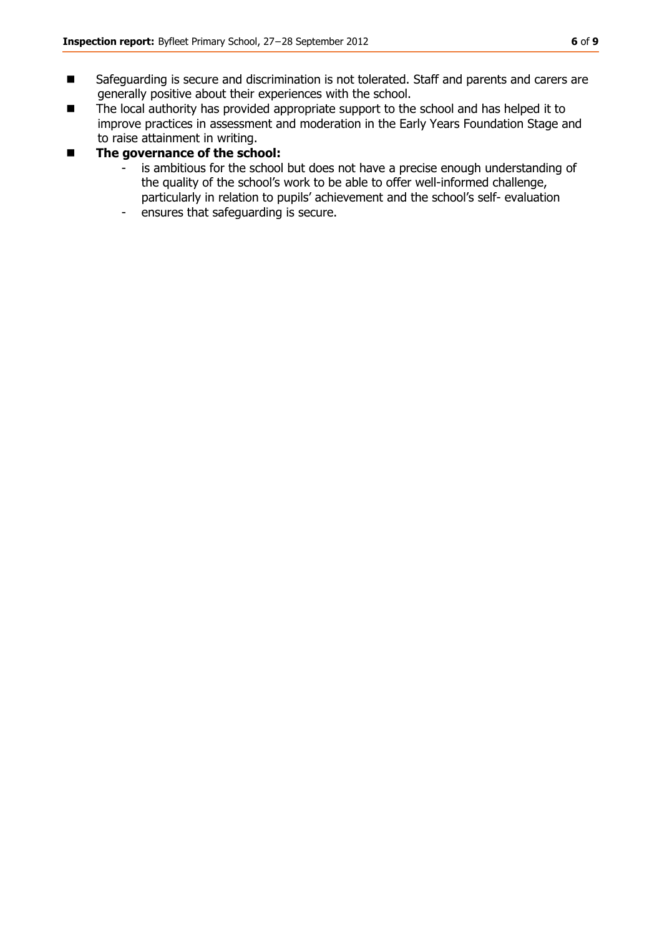- Safeguarding is secure and discrimination is not tolerated. Staff and parents and carers are generally positive about their experiences with the school.
- The local authority has provided appropriate support to the school and has helped it to improve practices in assessment and moderation in the Early Years Foundation Stage and to raise attainment in writing.

#### ■ The governance of the school:

- is ambitious for the school but does not have a precise enough understanding of the quality of the school's work to be able to offer well-informed challenge, particularly in relation to pupils' achievement and the school's self- evaluation
- ensures that safeguarding is secure.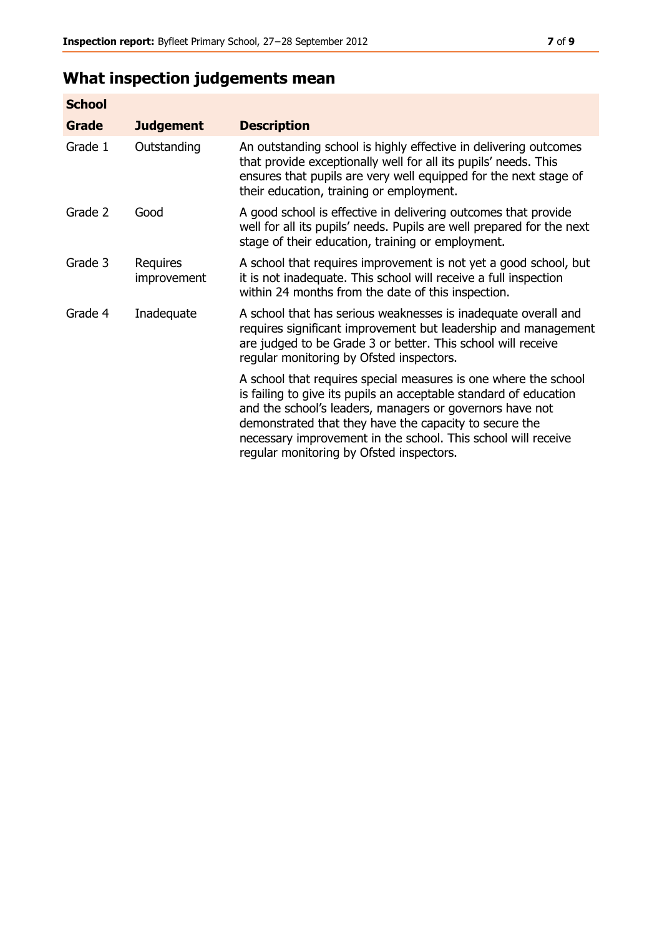# **What inspection judgements mean**

| <b>School</b> |                         |                                                                                                                                                                                                                                                                                                                                                                         |
|---------------|-------------------------|-------------------------------------------------------------------------------------------------------------------------------------------------------------------------------------------------------------------------------------------------------------------------------------------------------------------------------------------------------------------------|
| <b>Grade</b>  | <b>Judgement</b>        | <b>Description</b>                                                                                                                                                                                                                                                                                                                                                      |
| Grade 1       | Outstanding             | An outstanding school is highly effective in delivering outcomes<br>that provide exceptionally well for all its pupils' needs. This<br>ensures that pupils are very well equipped for the next stage of<br>their education, training or employment.                                                                                                                     |
| Grade 2       | Good                    | A good school is effective in delivering outcomes that provide<br>well for all its pupils' needs. Pupils are well prepared for the next<br>stage of their education, training or employment.                                                                                                                                                                            |
| Grade 3       | Requires<br>improvement | A school that requires improvement is not yet a good school, but<br>it is not inadequate. This school will receive a full inspection<br>within 24 months from the date of this inspection.                                                                                                                                                                              |
| Grade 4       | Inadequate              | A school that has serious weaknesses is inadequate overall and<br>requires significant improvement but leadership and management<br>are judged to be Grade 3 or better. This school will receive<br>regular monitoring by Ofsted inspectors.                                                                                                                            |
|               |                         | A school that requires special measures is one where the school<br>is failing to give its pupils an acceptable standard of education<br>and the school's leaders, managers or governors have not<br>demonstrated that they have the capacity to secure the<br>necessary improvement in the school. This school will receive<br>regular monitoring by Ofsted inspectors. |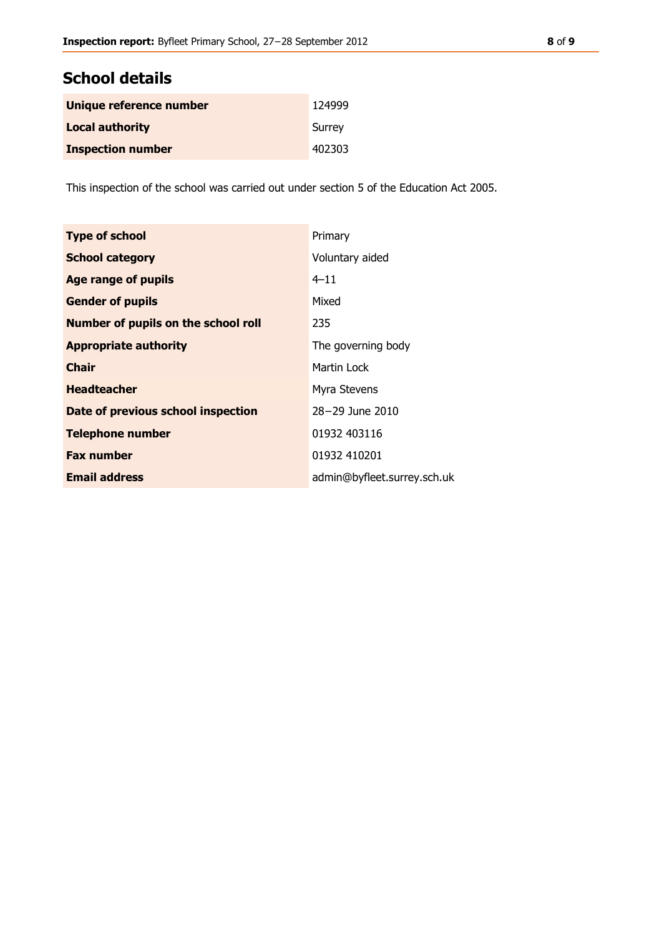# **School details**

| Unique reference number  | 124999 |
|--------------------------|--------|
| <b>Local authority</b>   | Surrey |
| <b>Inspection number</b> | 402303 |

This inspection of the school was carried out under section 5 of the Education Act 2005.

| <b>Type of school</b>                      | Primary                     |
|--------------------------------------------|-----------------------------|
| <b>School category</b>                     | Voluntary aided             |
| <b>Age range of pupils</b>                 | $4 - 11$                    |
| <b>Gender of pupils</b>                    | Mixed                       |
| <b>Number of pupils on the school roll</b> | 235                         |
| <b>Appropriate authority</b>               | The governing body          |
| <b>Chair</b>                               | Martin Lock                 |
| <b>Headteacher</b>                         | Myra Stevens                |
| Date of previous school inspection         | 28-29 June 2010             |
| <b>Telephone number</b>                    | 01932 403116                |
| <b>Fax number</b>                          | 01932 410201                |
| <b>Email address</b>                       | admin@byfleet.surrey.sch.uk |